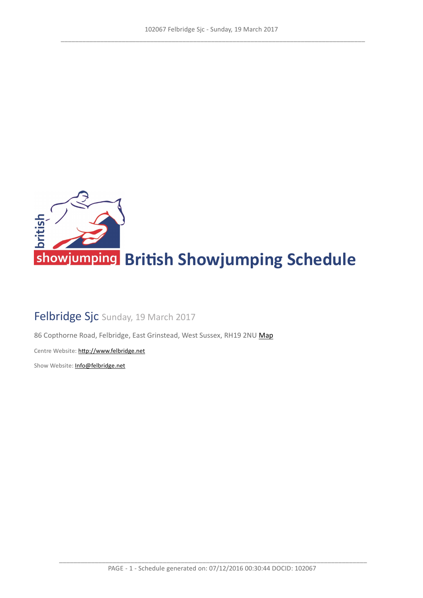

# Felbridge Sjc Sunday, 19 March 2017

86 Copthorne Road, Felbridge, East Grinstead, West Sussex, RH19 2NU [Map](https://www.google.com/maps/@51.1408091615886,-0.0481980387121439,16z)

Centre Website: http://www.felbridge.net

Show Website: Info@felbridge.net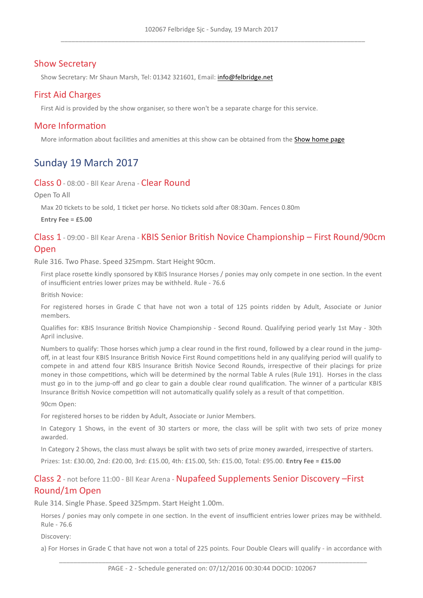### **Show Secretary**

Show Secretary: Mr Shaun Marsh, Tel: 01342 321601, Email: info@felbridge.net

### First Aid Charges

First Aid is provided by the show organiser, so there won't be a separate charge for this service.

#### More Information

More information about facilities and amenities at this show can be obtained from the Show [home](Info@felbridge.net) [page](Info@felbridge.net)

# Sunday 19 March 2017

#### Class 0 - 08:00 - Bll Kear Arena - Clear Round

Open To All

Max 20 tickets to be sold, 1 ticket per horse. No tickets sold after 08:30am, Fences 0.80m

**Entry Fee = £5.00**

## Class 1 - 09:00 - Bll Kear Arena - KBIS Senior Britsh Novice Championship – First Round/90cm Open

Rule 316. Two Phase. Speed 325mpm. Start Height 90cm.

First place rosette kindly sponsored by KBIS Insurance Horses / ponies may only compete in one section. In the event of insufficient entries lower prizes may be withheld. Rule - 76.6

Britsh Novice:

For registered horses in Grade C that have not won a total of 125 points ridden by Adult, Associate or Junior members.

Qualifies for: KBIS Insurance British Novice Championship - Second Round. Qualifying period yearly 1st May - 30th April inclusive.

Numbers to qualify: Those horses which jump a clear round in the first round, followed by a clear round in the jumpoff, in at least four KBIS Insurance British Novice First Round competitions held in any qualifying period will qualify to compete in and attend four KBIS Insurance British Novice Second Rounds, irrespective of their placings for prize money in those competitions, which will be determined by the normal Table A rules (Rule 191). Horses in the class must go in to the jump-off and go clear to gain a double clear round qualification. The winner of a particular KBIS Insurance British Novice competition will not automatically qualify solely as a result of that competition.

90cm Open:

For registered horses to be ridden by Adult, Associate or Junior Members.

In Category 1 Shows, in the event of 30 starters or more, the class will be split with two sets of prize money awarded.

In Category 2 Shows, the class must always be split with two sets of prize money awarded, irrespective of starters.

Prizes: 1st: £30w00, 2nd: £20w00, 3rd: £15w00, 4th: £15w00, 5th: £15w00, Total: £95w00w **Entry Fee = £15.00**

# Class 2 - not before 11:00 - Bll Kear Arena - Nupafeed Supplements Senior Discovery - First Round/1m Open

Rule 314. Single Phase. Speed 325mpm. Start Height 1.00m.

Horses / ponies may only compete in one section. In the event of insufficient entries lower prizes may be withheld. Rule - 76.6

Discovery:

a) For Horses in Grade C that have not won a total of 225 points. Four Double Clears will qualify - in accordance with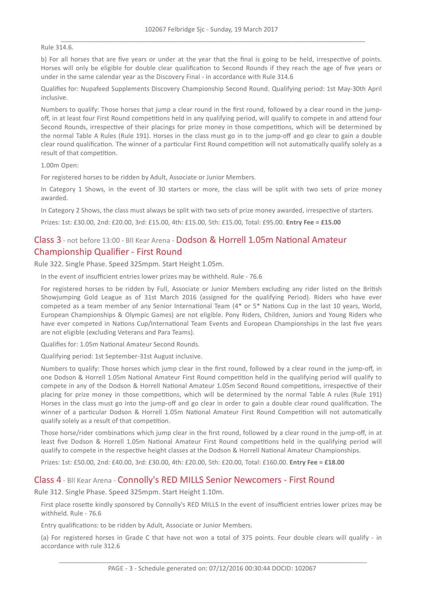Rule 314.6.

b) For all horses that are five years or under at the year that the final is going to be held, irrespective of points. Horses will only be eligible for double clear qualification to Second Rounds if they reach the age of five years or under in the same calendar year as the Discovery Final - in accordance with Rule 314.6

Qualifies for: Nupafeed Supplements Discovery Championship Second Round. Qualifying period: 1st May-30th April inclusive.

Numbers to qualify: Those horses that jump a clear round in the first round, followed by a clear round in the jumpoff, in at least four First Round competitions held in any qualifying period, will qualify to compete in and attend four Second Rounds, irrespective of their placings for prize money in those competitions, which will be determined by the normal Table A Rules (Rule 191). Horses in the class must go in to the jump-off and go clear to gain a double clear round qualification. The winner of a particular First Round competition will not automatically qualify solely as a result of that competition.

1.00m Open:

For registered horses to be ridden by Adult. Associate or Junior Members.

In Category 1 Shows, in the event of 30 starters or more, the class will be split with two sets of prize money awarded.

In Category 2 Shows, the class must always be split with two sets of prize money awarded, irrespective of starters.

Prizes: 1st: £30w00, 2nd: £20w00, 3rd: £15w00, 4th: £15w00, 5th: £15w00, Total: £95w00w **Entry Fee = £15.00**

# Class 3 - not before 13:00 - Bll Kear Arena - Dodson & Horrell 1.05m National Amateur Championship Qualifer - First Round

Rule 322. Single Phase. Speed 325mpm. Start Height 1.05m.

In the event of insufficient entries lower prizes may be withheld. Rule - 76.6

For registered horses to be ridden by Full, Associate or Junior Members excluding any rider listed on the Britsh Showjumping Gold League as of 31st March 2016 (assigned for the qualifying Period). Riders who have ever competed as a team member of any Senior International Team  $(4^*$  or 5\* Nations Cup in the last 10 years, World, European Championships & Olympic Games) are not eligible. Pony Riders, Children, Juniors and Young Riders who have ever competed in Nations Cup/International Team Events and European Championships in the last five years are not eligible (excluding Veterans and Para Teams).

Qualifies for: 1.05m National Amateur Second Rounds.

Qualifying period: 1st September-31st August inclusive.

Numbers to qualify: Those horses which jump clear in the first round, followed by a clear round in the jump-off, in one Dodson & Horrell 1.05m National Amateur First Round competition held in the qualifying period will qualify to compete in any of the Dodson & Horrell National Amateur 1.05m Second Round competitions, irrespective of their placing for prize money in those competitions, which will be determined by the normal Table A rules (Rule 191) Horses in the class must go into the jump-off and go clear in order to gain a double clear round qualification. The winner of a particular Dodson & Horrell 1.05m National Amateur First Round Competition will not automatically qualify solely as a result of that competition.

Those horse/rider combinations which jump clear in the first round, followed by a clear round in the jump-off, in at least five Dodson & Horrell 1.05m National Amateur First Round competitions held in the qualifying period will qualify to compete in the respective height classes at the Dodson & Horrell National Amateur Championships.

Prizes: 1st: £50w00, 2nd: £40w00, 3rd: £30w00, 4th: £20w00, 5th: £20w00, Total: £160w00w **Entry Fee = £18.00**

#### Class 4 - Bll Kear Arena - Connolly's RED MILLS Senior Newcomers - First Round

Rule 312. Single Phase. Speed 325mpm. Start Height 1.10m.

First place rosette kindly sponsored by Connolly's RED MILLS In the event of insufficient entries lower prizes may be withheld, Rule - 76.6

Entry qualifications: to be ridden by Adult, Associate or Junior Members.

(a) For registered horses in Grade C that have not won a total of 375 points. Four double clears will qualify - in accordance with rule 312.6